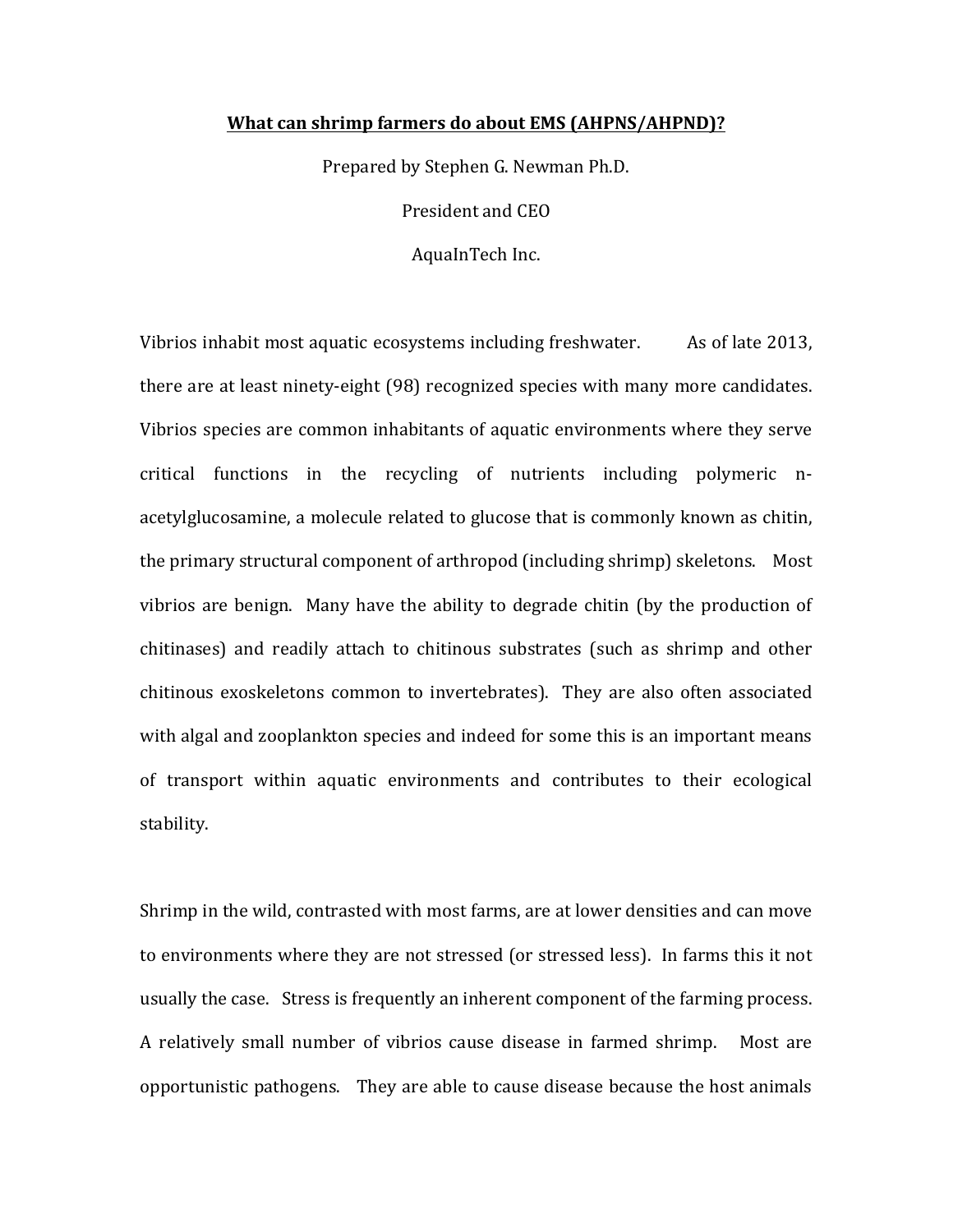## **What can shrimp farmers do about EMS (AHPNS/AHPND)?**

Prepared by Stephen G. Newman Ph.D.

President and CEO

AquaInTech Inc.

Vibrios inhabit most aquatic ecosystems including freshwater.  $\blacksquare$  As of late 2013, there are at least ninety-eight (98) recognized species with many more candidates. Vibrios species are common inhabitants of aquatic environments where they serve critical functions in the recycling of nutrients including polymeric nacetylglucosamine, a molecule related to glucose that is commonly known as chitin, the primary structural component of arthropod (including shrimp) skeletons. Most vibrios are benign. Many have the ability to degrade chitin (by the production of chitinases) and readily attach to chitinous substrates (such as shrimp and other chitinous exoskeletons common to invertebrates). They are also often associated with algal and zooplankton species and indeed for some this is an important means of transport within aquatic environments and contributes to their ecological stability. 

Shrimp in the wild, contrasted with most farms, are at lower densities and can move to environments where they are not stressed (or stressed less). In farms this it not usually the case. Stress is frequently an inherent component of the farming process. A relatively small number of vibrios cause disease in farmed shrimp. Most are opportunistic pathogens. They are able to cause disease because the host animals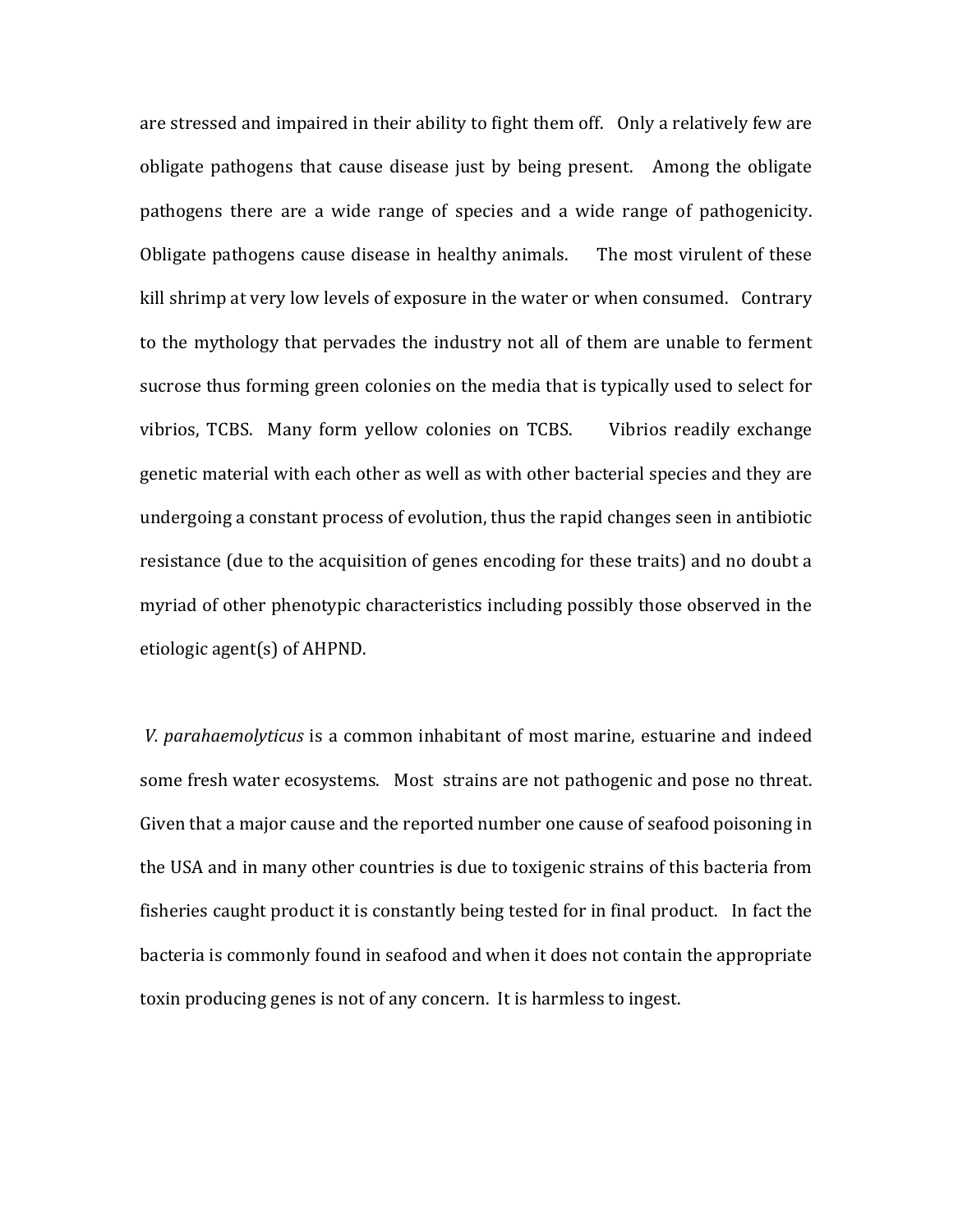are stressed and impaired in their ability to fight them off. Only a relatively few are obligate pathogens that cause disease just by being present. Among the obligate pathogens there are a wide range of species and a wide range of pathogenicity. Obligate pathogens cause disease in healthy animals. The most virulent of these kill shrimp at very low levels of exposure in the water or when consumed. Contrary to the mythology that pervades the industry not all of them are unable to ferment sucrose thus forming green colonies on the media that is typically used to select for vibrios, TCBS. Many form vellow colonies on TCBS. I Vibrios readily exchange genetic material with each other as well as with other bacterial species and they are undergoing a constant process of evolution, thus the rapid changes seen in antibiotic resistance (due to the acquisition of genes encoding for these traits) and no doubt a myriad of other phenotypic characteristics including possibly those observed in the etiologic agent(s) of AHPND.

*V.* parahaemolyticus is a common inhabitant of most marine, estuarine and indeed some fresh water ecosystems. Most strains are not pathogenic and pose no threat. Given that a major cause and the reported number one cause of seafood poisoning in the USA and in many other countries is due to toxigenic strains of this bacteria from fisheries caught product it is constantly being tested for in final product. In fact the bacteria is commonly found in seafood and when it does not contain the appropriate toxin producing genes is not of any concern. It is harmless to ingest.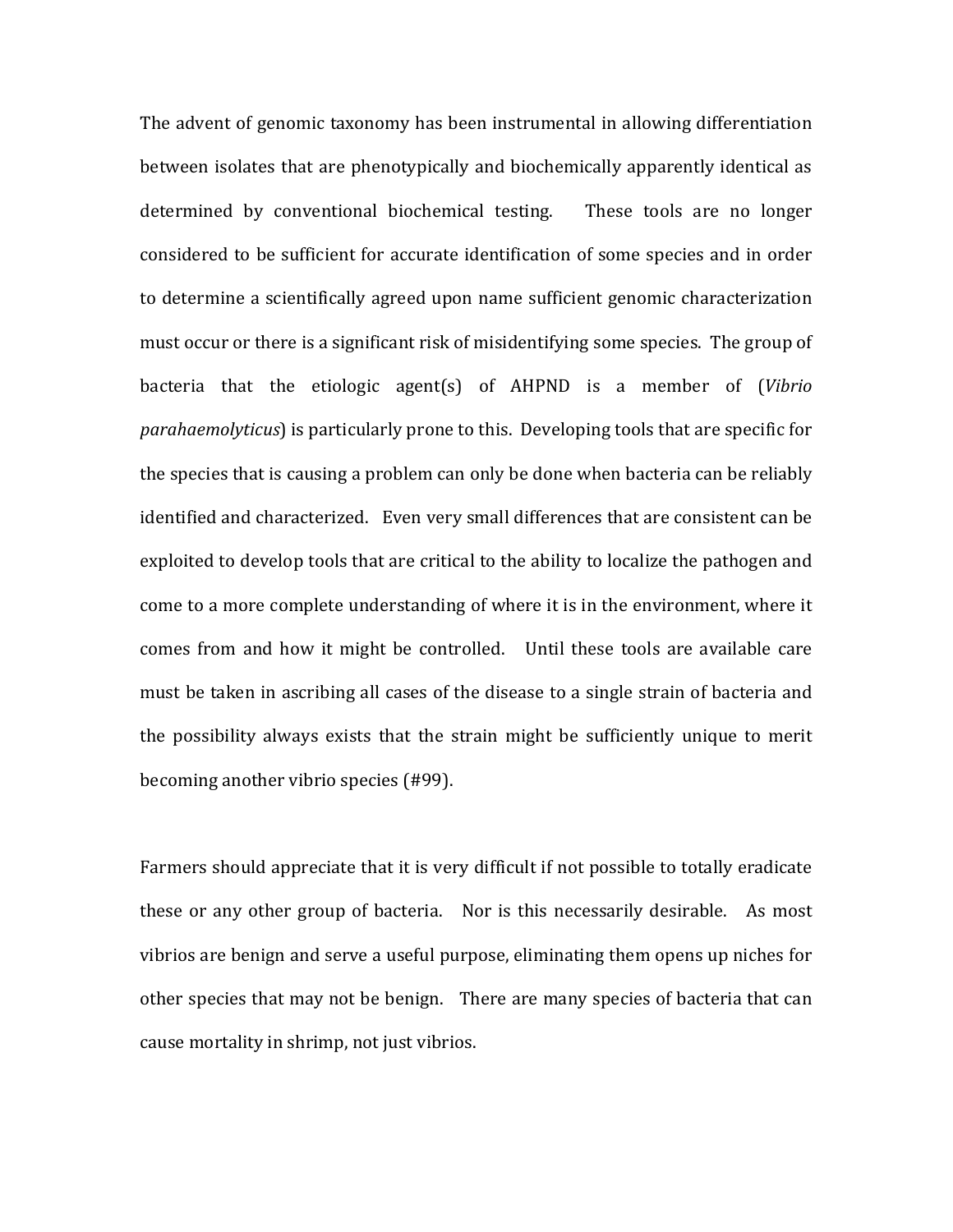The advent of genomic taxonomy has been instrumental in allowing differentiation between isolates that are phenotypically and biochemically apparently identical as determined by conventional biochemical testing. These tools are no longer considered to be sufficient for accurate identification of some species and in order to determine a scientifically agreed upon name sufficient genomic characterization must occur or there is a significant risk of misidentifying some species. The group of bacteria that the etiologic agent(s) of AHPND is a member of (*Vibrio parahaemolyticus*) is particularly prone to this. Developing tools that are specific for the species that is causing a problem can only be done when bacteria can be reliably identified and characterized. Even very small differences that are consistent can be exploited to develop tools that are critical to the ability to localize the pathogen and come to a more complete understanding of where it is in the environment, where it comes from and how it might be controlled. Until these tools are available care must be taken in ascribing all cases of the disease to a single strain of bacteria and the possibility always exists that the strain might be sufficiently unique to merit becoming another vibrio species (#99).

Farmers should appreciate that it is very difficult if not possible to totally eradicate these or any other group of bacteria. Nor is this necessarily desirable. As most vibrios are benign and serve a useful purpose, eliminating them opens up niches for other species that may not be benign. There are many species of bacteria that can cause mortality in shrimp, not just vibrios.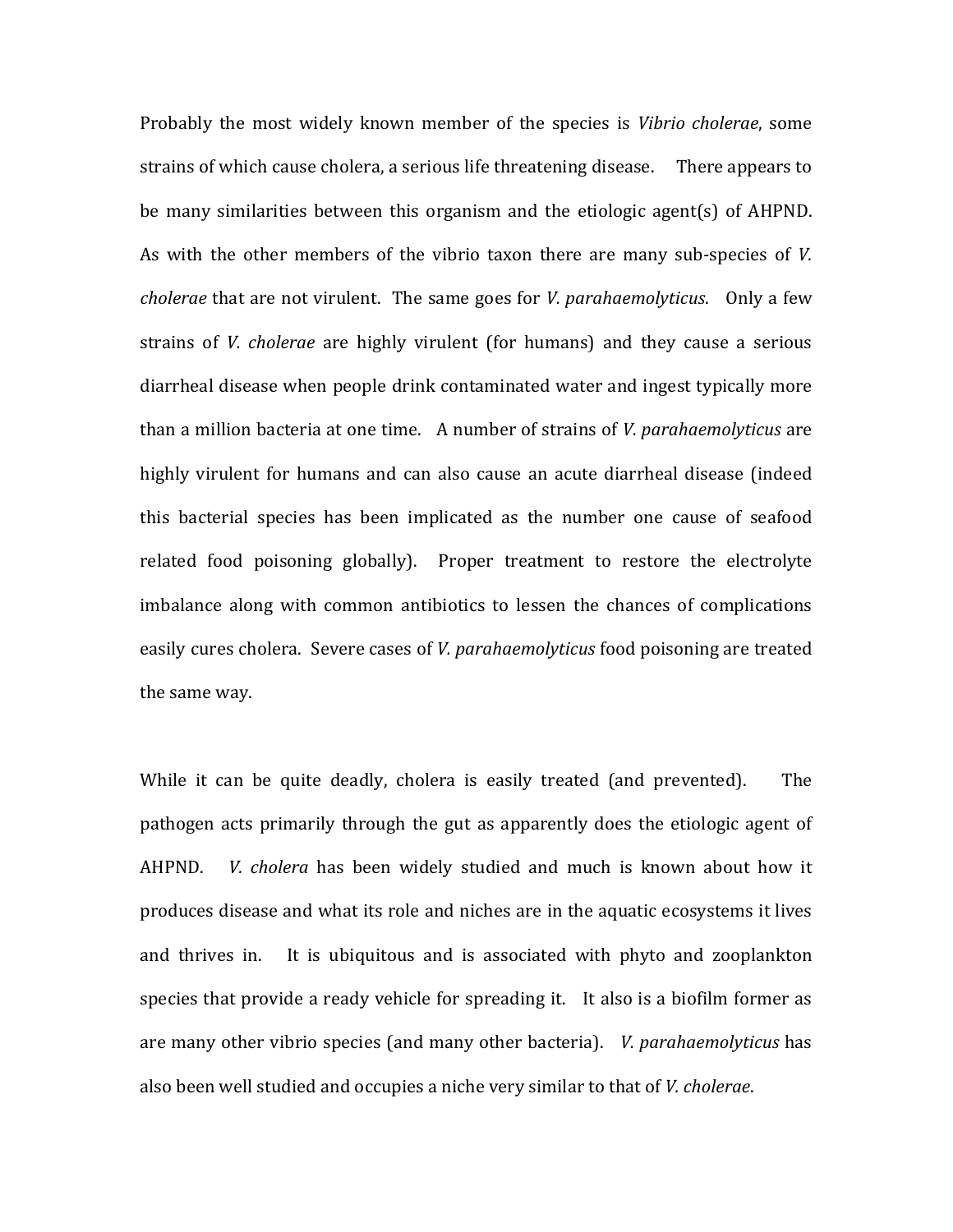Probably the most widely known member of the species is *Vibrio cholerae*, some strains of which cause cholera, a serious life threatening disease. There appears to be many similarities between this organism and the etiologic agent(s) of AHPND. As with the other members of the vibrio taxon there are many sub-species of *V*. *cholerae* that are not virulent. The same goes for *V. parahaemolyticus*. Only a few strains of *V. cholerae* are highly virulent (for humans) and they cause a serious diarrheal disease when people drink contaminated water and ingest typically more than a million bacteria at one time. A number of strains of *V. parahaemolyticus* are highly virulent for humans and can also cause an acute diarrheal disease (indeed this bacterial species has been implicated as the number one cause of seafood related food poisoning globally). Proper treatment to restore the electrolyte imbalance along with common antibiotics to lessen the chances of complications easily cures cholera. Severe cases of *V. parahaemolyticus* food poisoning are treated the same way.

While it can be quite deadly, cholera is easily treated (and prevented). The pathogen acts primarily through the gut as apparently does the etiologic agent of AHPND. *V. cholera* has been widely studied and much is known about how it produces disease and what its role and niches are in the aquatic ecosystems it lives and thrives in. It is ubiquitous and is associated with phyto and zooplankton species that provide a ready vehicle for spreading it. It also is a biofilm former as are many other vibrio species (and many other bacteria). *V. parahaemolyticus* has also been well studied and occupies a niche very similar to that of *V. cholerae*.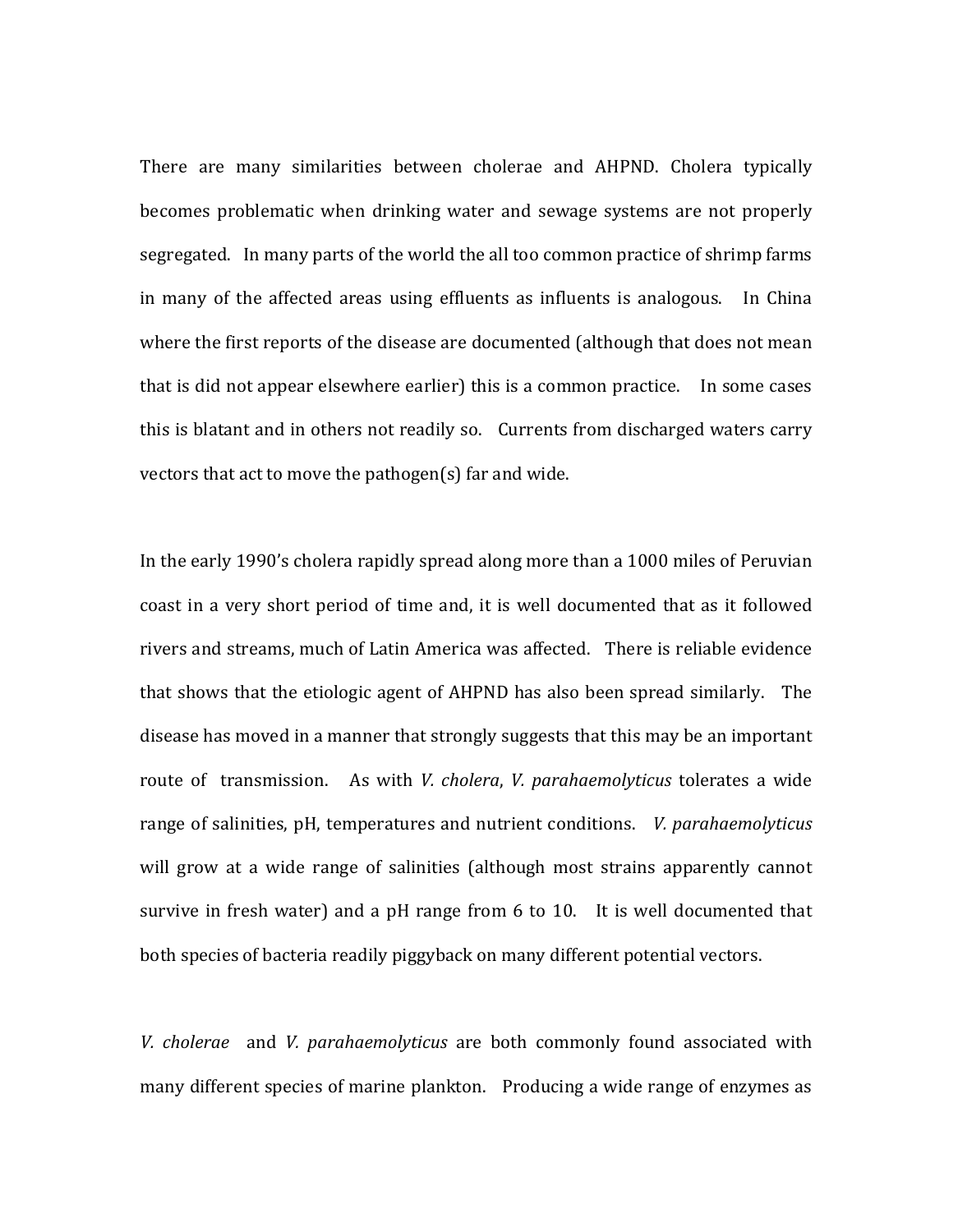There are many similarities between cholerae and AHPND. Cholera typically becomes problematic when drinking water and sewage systems are not properly segregated. In many parts of the world the all too common practice of shrimp farms in many of the affected areas using effluents as influents is analogous. In China where the first reports of the disease are documented (although that does not mean that is did not appear elsewhere earlier) this is a common practice. In some cases this is blatant and in others not readily so. Currents from discharged waters carry vectors that act to move the pathogen(s) far and wide.

In the early 1990's cholera rapidly spread along more than a 1000 miles of Peruvian coast in a very short period of time and, it is well documented that as it followed rivers and streams, much of Latin America was affected. There is reliable evidence that shows that the etiologic agent of AHPND has also been spread similarly. The disease has moved in a manner that strongly suggests that this may be an important route of transmission. As with *V. cholera, V. parahaemolyticus* tolerates a wide range of salinities, pH, temperatures and nutrient conditions. *V. parahaemolyticus* will grow at a wide range of salinities (although most strains apparently cannot survive in fresh water) and a pH range from  $6$  to  $10$ . It is well documented that both species of bacteria readily piggyback on many different potential vectors.

*V.* cholerae and *V. parahaemolyticus* are both commonly found associated with many different species of marine plankton. Producing a wide range of enzymes as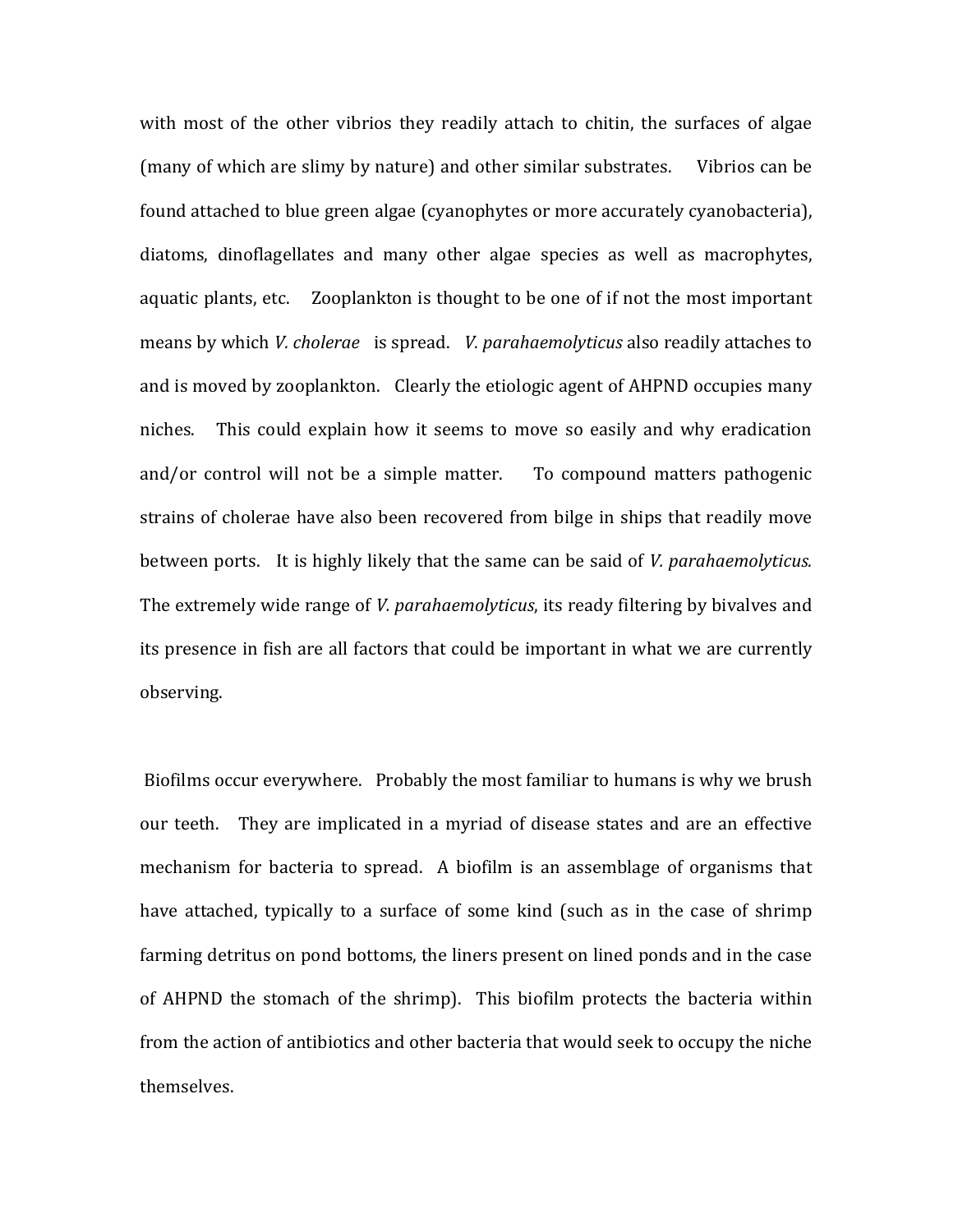with most of the other vibrios they readily attach to chitin, the surfaces of algae (many of which are slimy by nature) and other similar substrates. Vibrios can be found attached to blue green algae (cyanophytes or more accurately cyanobacteria), diatoms, dinoflagellates and many other algae species as well as macrophytes, aquatic plants, etc. Zooplankton is thought to be one of if not the most important means by which *V. cholerae* is spread. *V. parahaemolyticus* also readily attaches to and is moved by zooplankton. Clearly the etiologic agent of AHPND occupies many niches. This could explain how it seems to move so easily and why eradication and/or control will not be a simple matter. To compound matters pathogenic strains of cholerae have also been recovered from bilge in ships that readily move between ports. It is highly likely that the same can be said of *V. parahaemolyticus.* The extremely wide range of *V. parahaemolyticus*, its ready filtering by bivalves and its presence in fish are all factors that could be important in what we are currently observing.

Biofilms occur everywhere. Probably the most familiar to humans is why we brush our teeth. They are implicated in a myriad of disease states and are an effective mechanism for bacteria to spread. A biofilm is an assemblage of organisms that have attached, typically to a surface of some kind (such as in the case of shrimp farming detritus on pond bottoms, the liners present on lined ponds and in the case of AHPND the stomach of the shrimp). This biofilm protects the bacteria within from the action of antibiotics and other bacteria that would seek to occupy the niche themselves.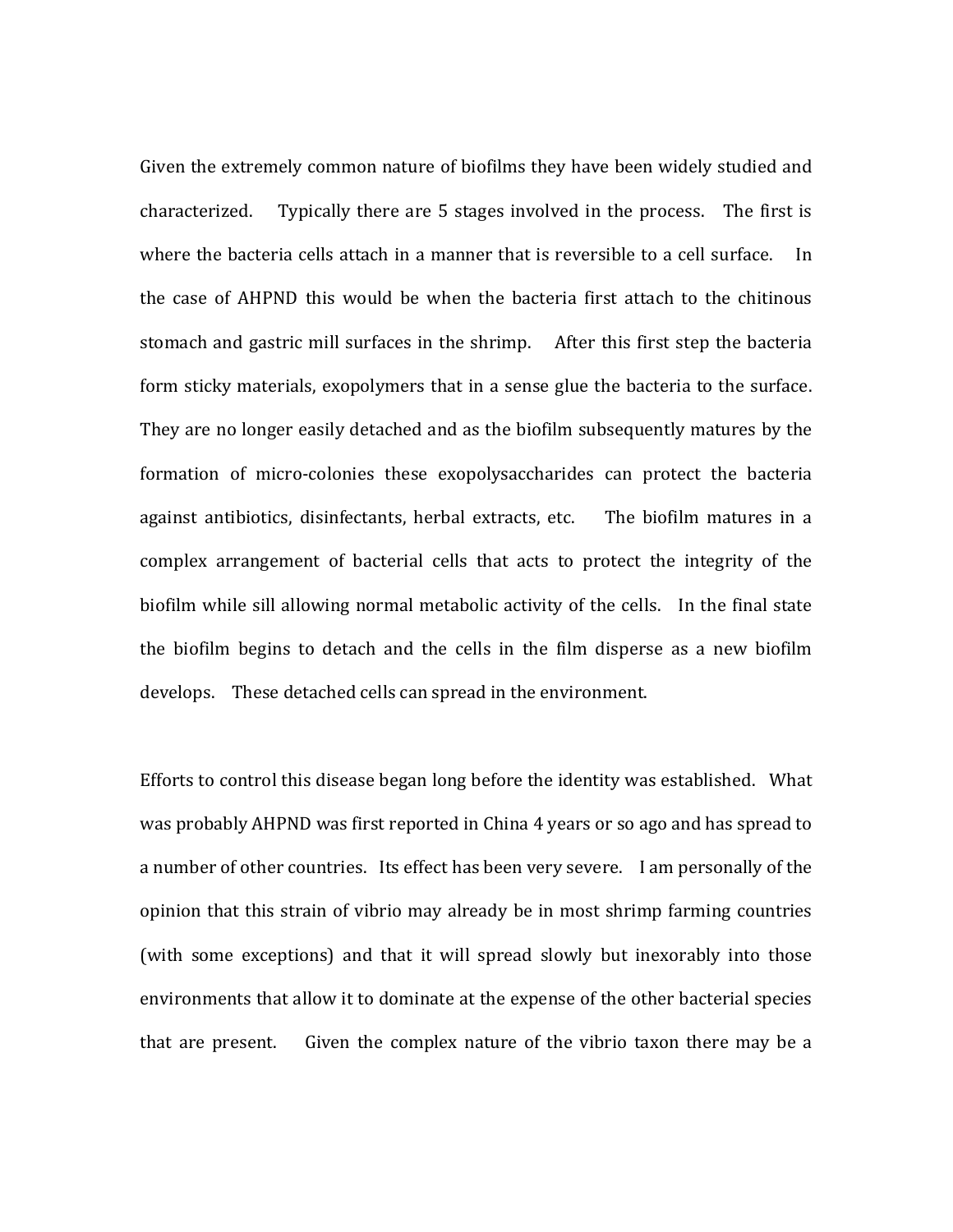Given the extremely common nature of biofilms they have been widely studied and characterized. Typically there are  $5$  stages involved in the process. The first is where the bacteria cells attach in a manner that is reversible to a cell surface. In the case of AHPND this would be when the bacteria first attach to the chitinous stomach and gastric mill surfaces in the shrimp. After this first step the bacteria form sticky materials, exopolymers that in a sense glue the bacteria to the surface. They are no longer easily detached and as the biofilm subsequently matures by the formation of micro-colonies these exopolysaccharides can protect the bacteria against antibiotics, disinfectants, herbal extracts, etc. The biofilm matures in a complex arrangement of bacterial cells that acts to protect the integrity of the biofilm while sill allowing normal metabolic activity of the cells. In the final state the biofilm begins to detach and the cells in the film disperse as a new biofilm develops. These detached cells can spread in the environment.

Efforts to control this disease began long before the identity was established. What was probably AHPND was first reported in China 4 years or so ago and has spread to a number of other countries. Its effect has been very severe. I am personally of the opinion that this strain of vibrio may already be in most shrimp farming countries (with some exceptions) and that it will spread slowly but inexorably into those environments that allow it to dominate at the expense of the other bacterial species that are present. Given the complex nature of the vibrio taxon there may be a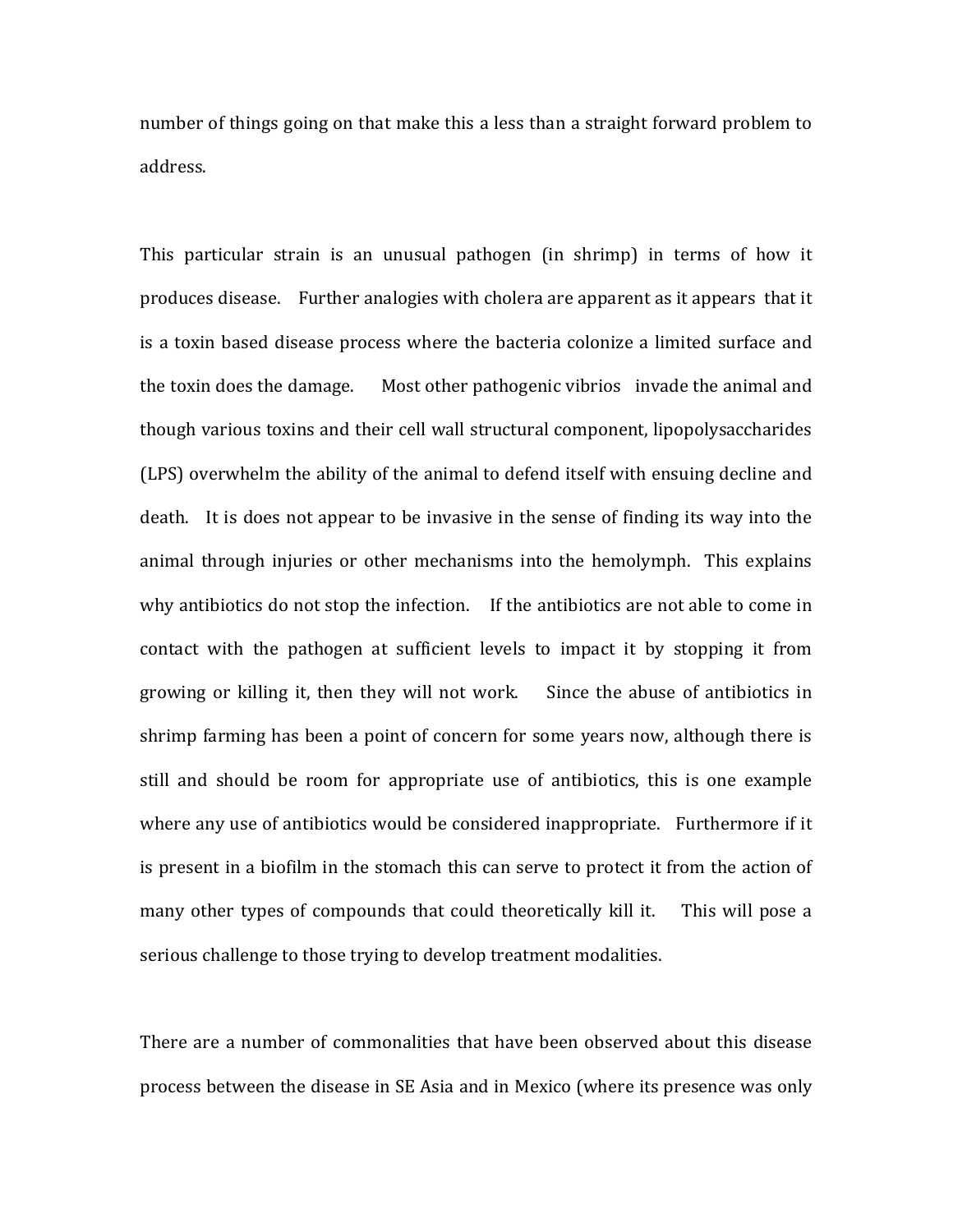number of things going on that make this a less than a straight forward problem to address.

This particular strain is an unusual pathogen (in shrimp) in terms of how it produces disease. Further analogies with cholera are apparent as it appears that it is a toxin based disease process where the bacteria colonize a limited surface and the toxin does the damage. Most other pathogenic vibrios invade the animal and though various toxins and their cell wall structural component, lipopolysaccharides (LPS) overwhelm the ability of the animal to defend itself with ensuing decline and death. It is does not appear to be invasive in the sense of finding its way into the animal through injuries or other mechanisms into the hemolymph. This explains why antibiotics do not stop the infection. If the antibiotics are not able to come in contact with the pathogen at sufficient levels to impact it by stopping it from growing or killing it, then they will not work. Since the abuse of antibiotics in shrimp farming has been a point of concern for some years now, although there is still and should be room for appropriate use of antibiotics, this is one example where any use of antibiotics would be considered inappropriate. Furthermore if it is present in a biofilm in the stomach this can serve to protect it from the action of many other types of compounds that could theoretically kill it. This will pose a serious challenge to those trying to develop treatment modalities.

There are a number of commonalities that have been observed about this disease process between the disease in SE Asia and in Mexico (where its presence was only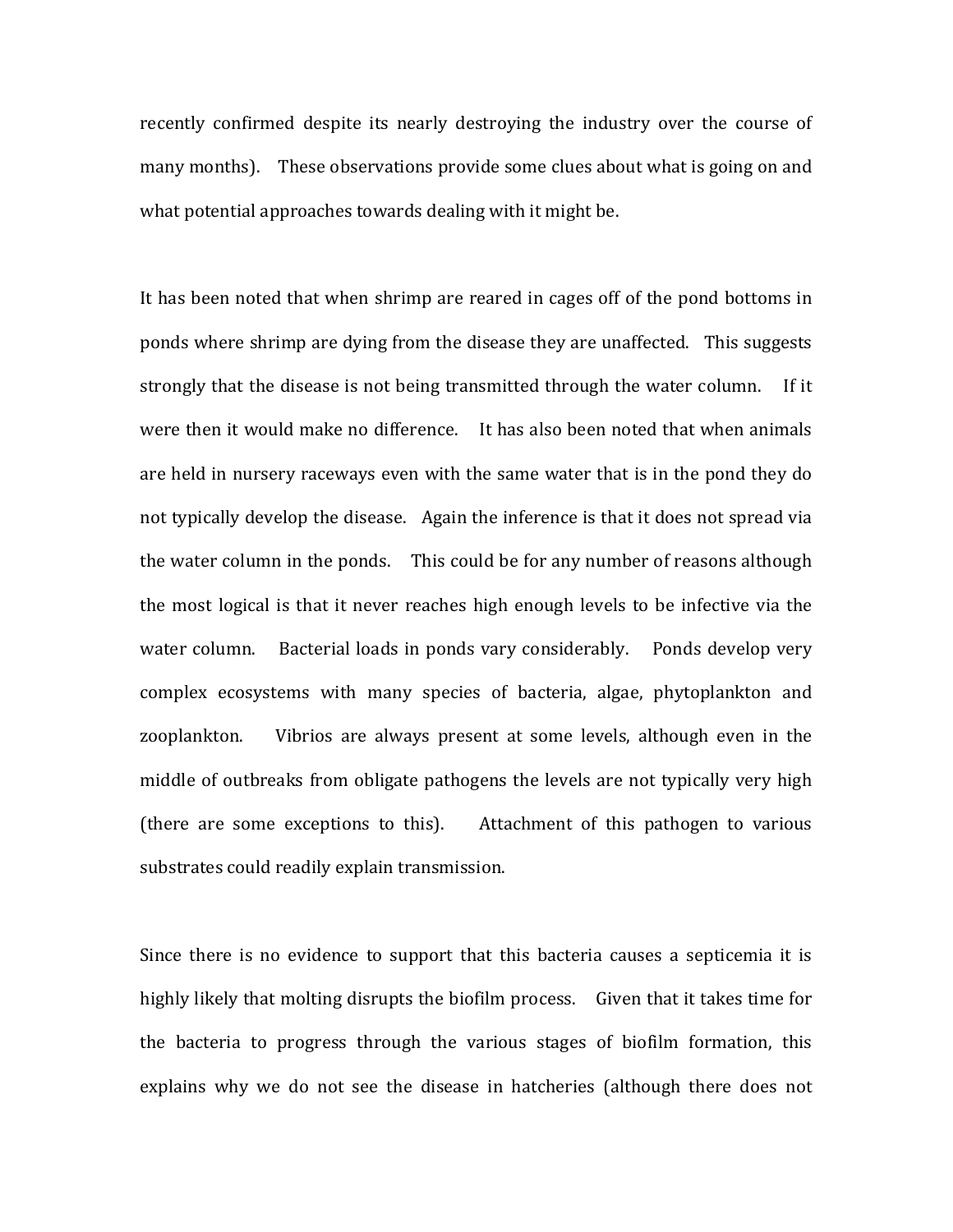recently confirmed despite its nearly destroying the industry over the course of many months). These observations provide some clues about what is going on and what potential approaches towards dealing with it might be.

It has been noted that when shrimp are reared in cages off of the pond bottoms in ponds where shrimp are dying from the disease they are unaffected. This suggests strongly that the disease is not being transmitted through the water column. If it were then it would make no difference. It has also been noted that when animals are held in nursery raceways even with the same water that is in the pond they do not typically develop the disease. Again the inference is that it does not spread via the water column in the ponds. This could be for any number of reasons although the most logical is that it never reaches high enough levels to be infective via the water column. Bacterial loads in ponds vary considerably. Ponds develop very complex ecosystems with many species of bacteria, algae, phytoplankton and zooplankton. Vibrios are always present at some levels, although even in the middle of outbreaks from obligate pathogens the levels are not typically very high (there are some exceptions to this). Attachment of this pathogen to various substrates could readily explain transmission.

Since there is no evidence to support that this bacteria causes a septicemia it is highly likely that molting disrupts the biofilm process. Given that it takes time for the bacteria to progress through the various stages of biofilm formation, this explains why we do not see the disease in hatcheries (although there does not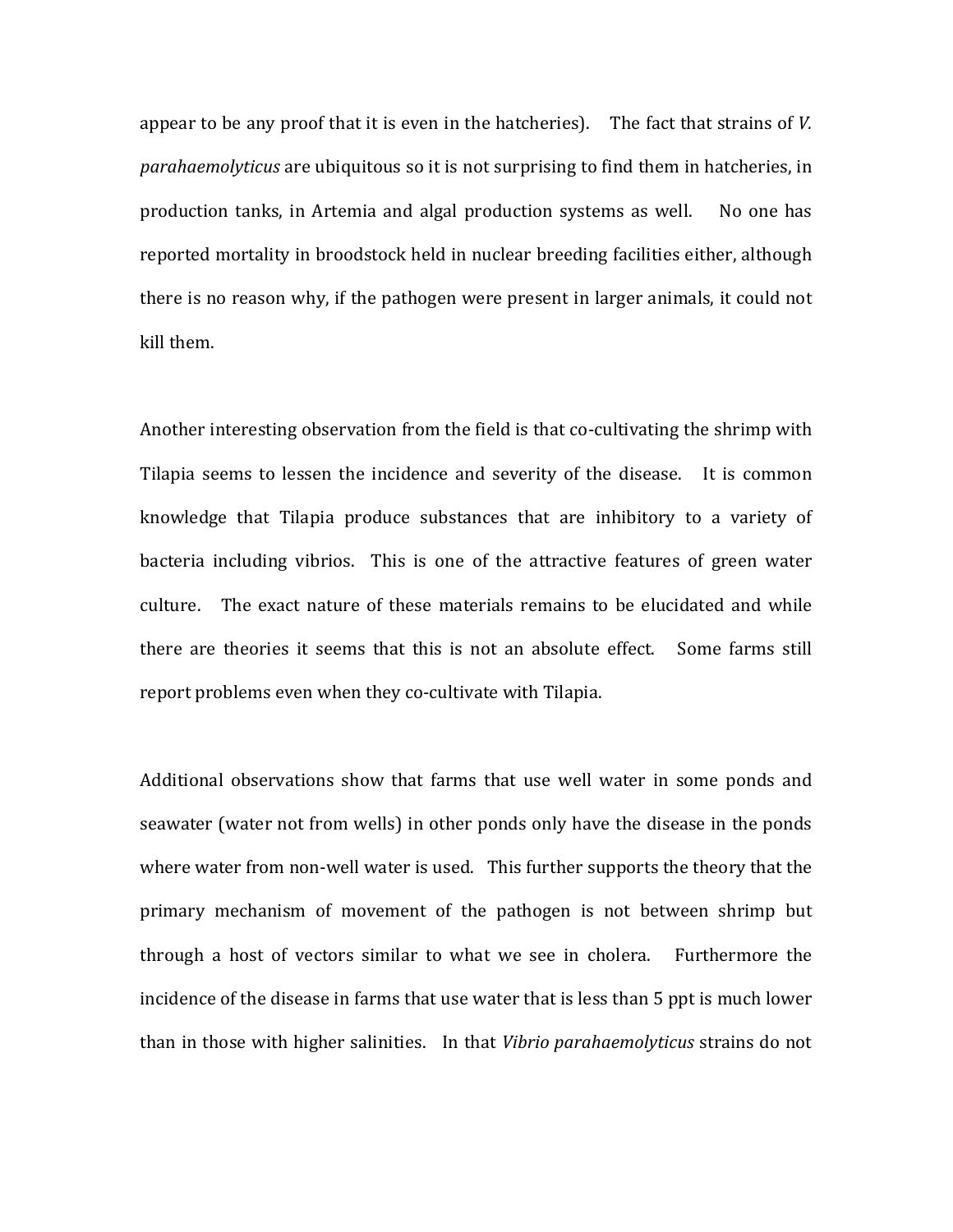appear to be any proof that it is even in the hatcheries). The fact that strains of *V*. *parahaemolyticus* are ubiquitous so it is not surprising to find them in hatcheries, in production tanks, in Artemia and algal production systems as well. No one has reported mortality in broodstock held in nuclear breeding facilities either, although there is no reason why, if the pathogen were present in larger animals, it could not kill them.

Another interesting observation from the field is that co-cultivating the shrimp with Tilapia seems to lessen the incidence and severity of the disease. It is common knowledge that Tilapia produce substances that are inhibitory to a variety of bacteria including vibrios. This is one of the attractive features of green water culture. The exact nature of these materials remains to be elucidated and while there are theories it seems that this is not an absolute effect. Some farms still report problems even when they co-cultivate with Tilapia.

Additional observations show that farms that use well water in some ponds and seawater (water not from wells) in other ponds only have the disease in the ponds where water from non-well water is used. This further supports the theory that the primary mechanism of movement of the pathogen is not between shrimp but through a host of vectors similar to what we see in cholera. Furthermore the incidence of the disease in farms that use water that is less than 5 ppt is much lower than in those with higher salinities. In that *Vibrio parahaemolyticus* strains do not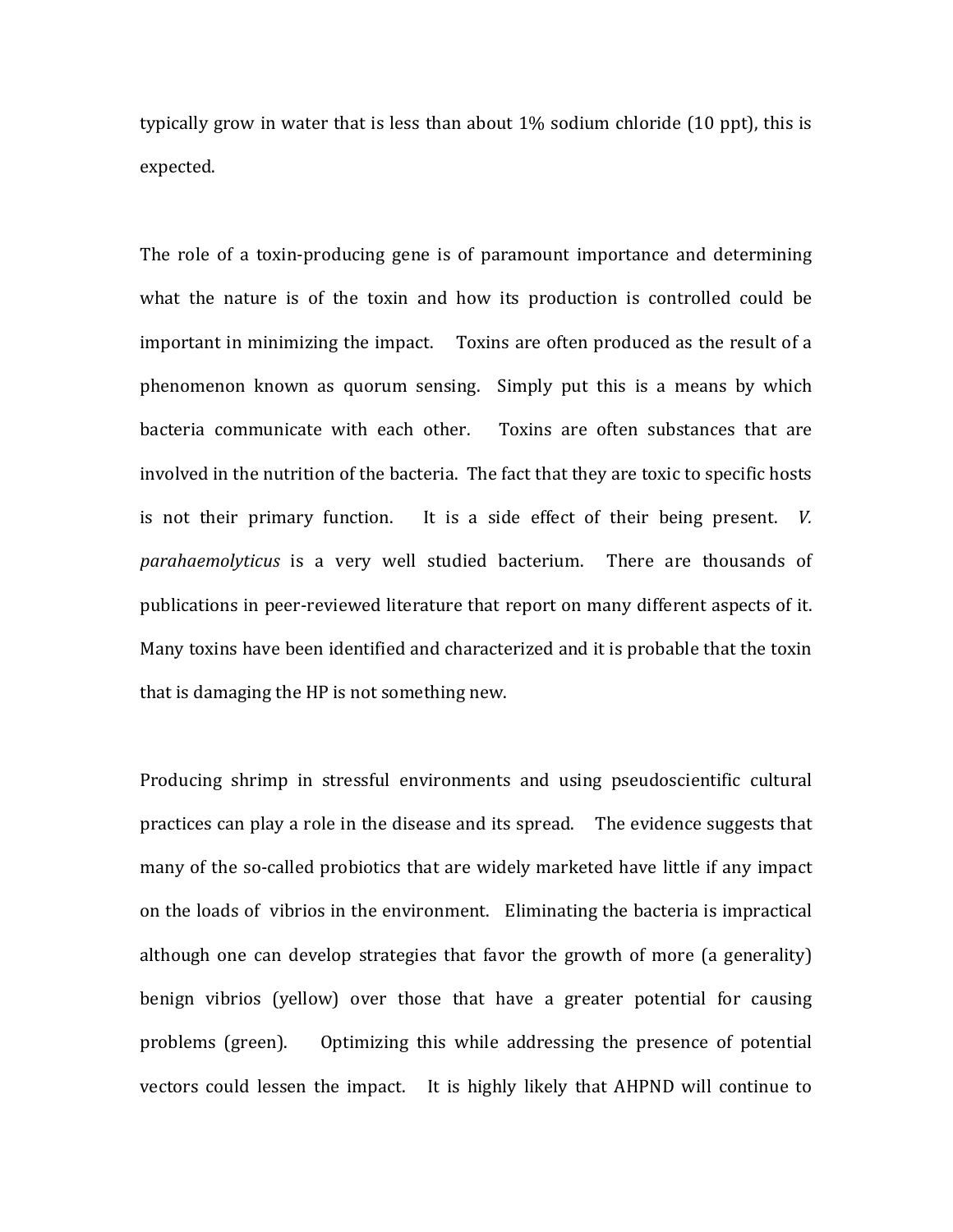typically grow in water that is less than about  $1\%$  sodium chloride  $(10$  ppt), this is expected. 

The role of a toxin-producing gene is of paramount importance and determining what the nature is of the toxin and how its production is controlled could be important in minimizing the impact. Toxins are often produced as the result of a phenomenon known as quorum sensing. Simply put this is a means by which bacteria communicate with each other. Toxins are often substances that are involved in the nutrition of the bacteria. The fact that they are toxic to specific hosts is not their primary function. It is a side effect of their being present.  $V$ . parahaemolyticus is a very well studied bacterium. There are thousands of publications in peer-reviewed literature that report on many different aspects of it. Many toxins have been identified and characterized and it is probable that the toxin that is damaging the HP is not something new.

Producing shrimp in stressful environments and using pseudoscientific cultural practices can play a role in the disease and its spread. The evidence suggests that many of the so-called probiotics that are widely marketed have little if any impact on the loads of vibrios in the environment. Eliminating the bacteria is impractical although one can develop strategies that favor the growth of more (a generality) benign vibrios (yellow) over those that have a greater potential for causing problems (green). Optimizing this while addressing the presence of potential vectors could lessen the impact. It is highly likely that AHPND will continue to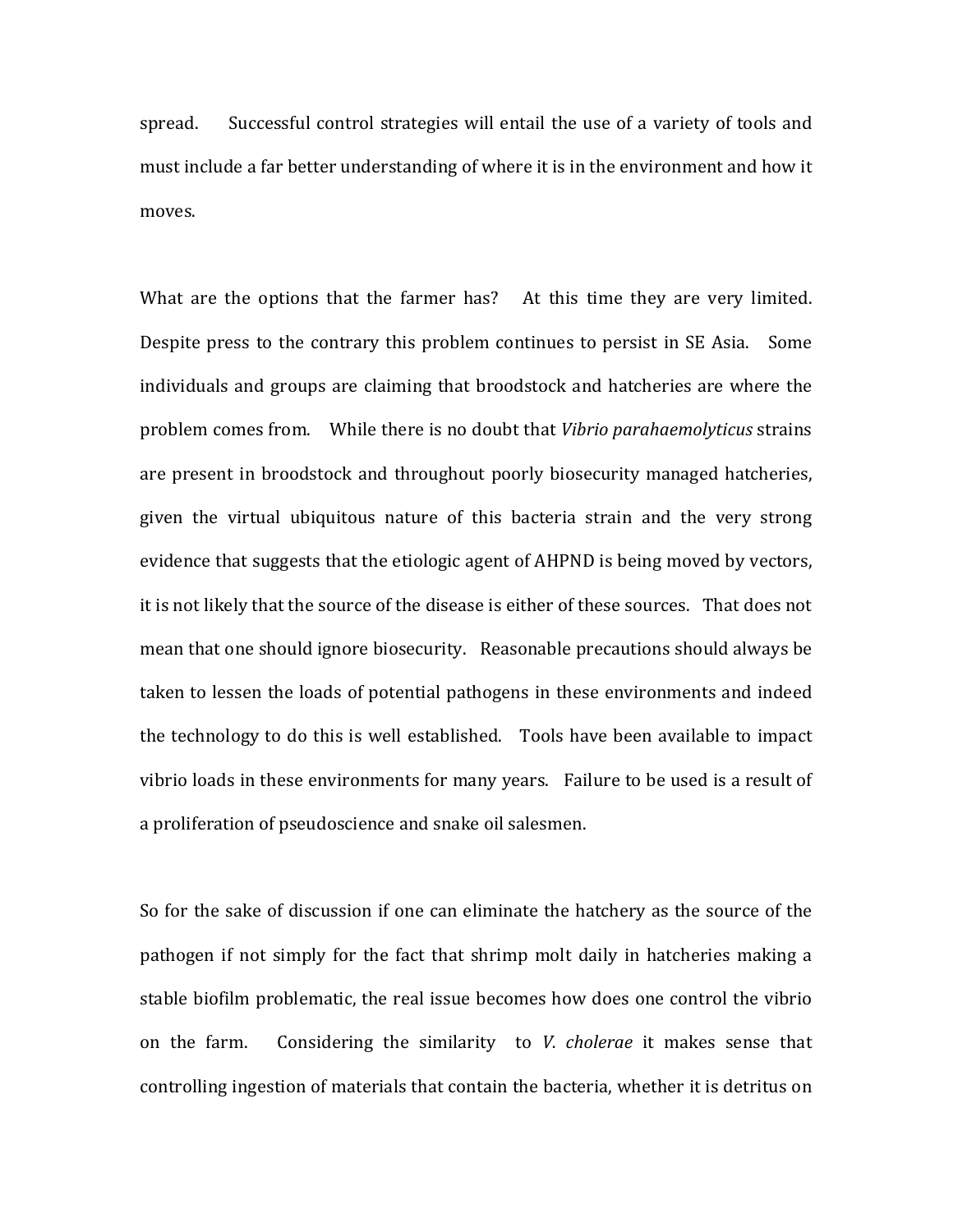spread. Successful control strategies will entail the use of a variety of tools and must include a far better understanding of where it is in the environment and how it moves. 

What are the options that the farmer has? At this time they are very limited. Despite press to the contrary this problem continues to persist in SE Asia. Some individuals and groups are claiming that broodstock and hatcheries are where the problem comes from. While there is no doubt that *Vibrio parahaemolyticus* strains are present in broodstock and throughout poorly biosecurity managed hatcheries, given the virtual ubiquitous nature of this bacteria strain and the very strong evidence that suggests that the etiologic agent of AHPND is being moved by vectors, it is not likely that the source of the disease is either of these sources. That does not mean that one should ignore biosecurity. Reasonable precautions should always be taken to lessen the loads of potential pathogens in these environments and indeed the technology to do this is well established. Tools have been available to impact vibrio loads in these environments for many years. Failure to be used is a result of a proliferation of pseudoscience and snake oil salesmen.

So for the sake of discussion if one can eliminate the hatchery as the source of the pathogen if not simply for the fact that shrimp molt daily in hatcheries making a stable biofilm problematic, the real issue becomes how does one control the vibrio on the farm. Considering the similarity to *V. cholerae* it makes sense that controlling ingestion of materials that contain the bacteria, whether it is detritus on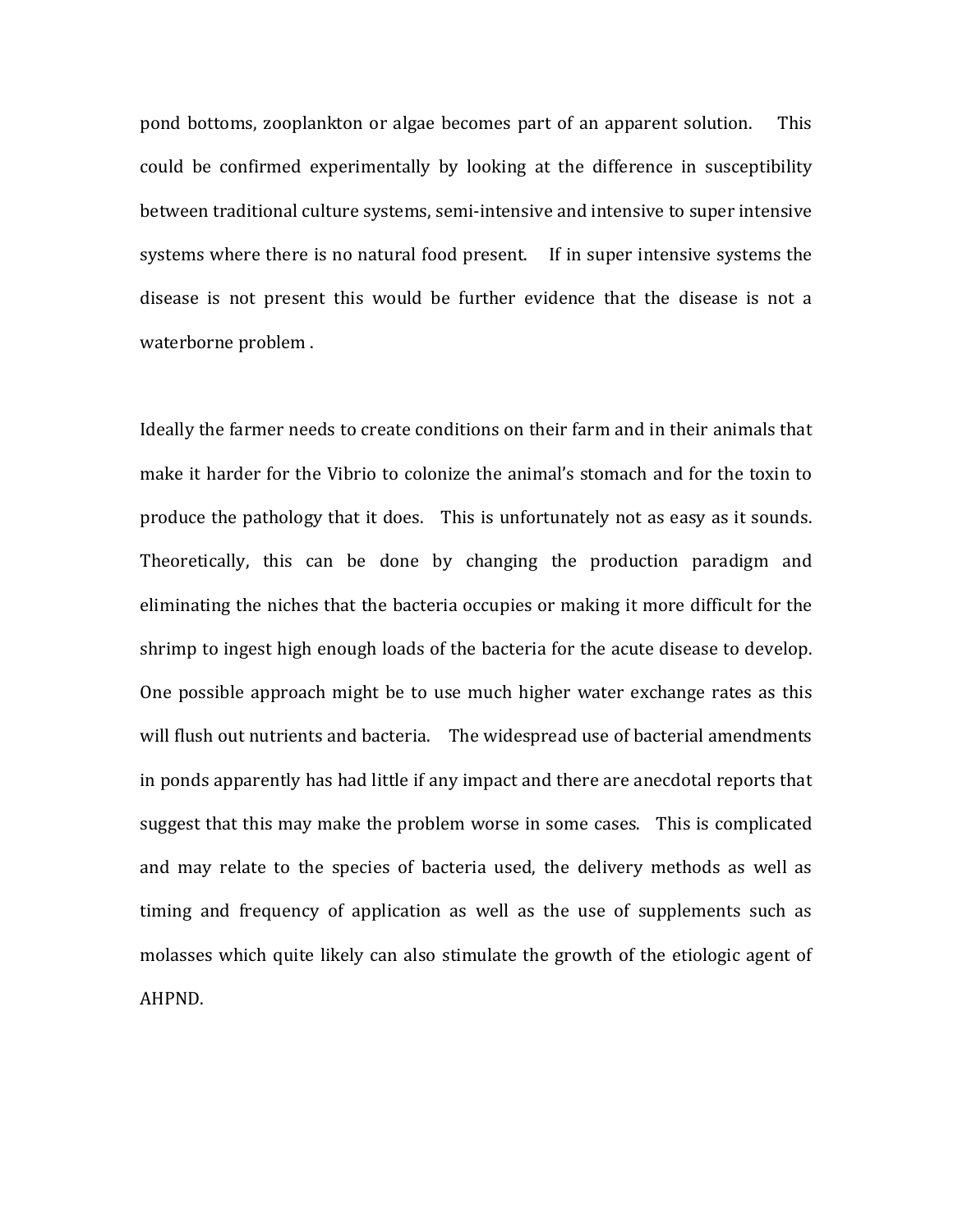pond bottoms, zooplankton or algae becomes part of an apparent solution. This could be confirmed experimentally by looking at the difference in susceptibility between traditional culture systems, semi-intensive and intensive to super intensive systems where there is no natural food present. If in super intensive systems the disease is not present this would be further evidence that the disease is not a waterborne problem.

Ideally the farmer needs to create conditions on their farm and in their animals that make it harder for the Vibrio to colonize the animal's stomach and for the toxin to produce the pathology that it does. This is unfortunately not as easy as it sounds. Theoretically, this can be done by changing the production paradigm and eliminating the niches that the bacteria occupies or making it more difficult for the shrimp to ingest high enough loads of the bacteria for the acute disease to develop. One possible approach might be to use much higher water exchange rates as this will flush out nutrients and bacteria. The widespread use of bacterial amendments in ponds apparently has had little if any impact and there are anecdotal reports that suggest that this may make the problem worse in some cases. This is complicated and may relate to the species of bacteria used, the delivery methods as well as timing and frequency of application as well as the use of supplements such as molasses which quite likely can also stimulate the growth of the etiologic agent of AHPND.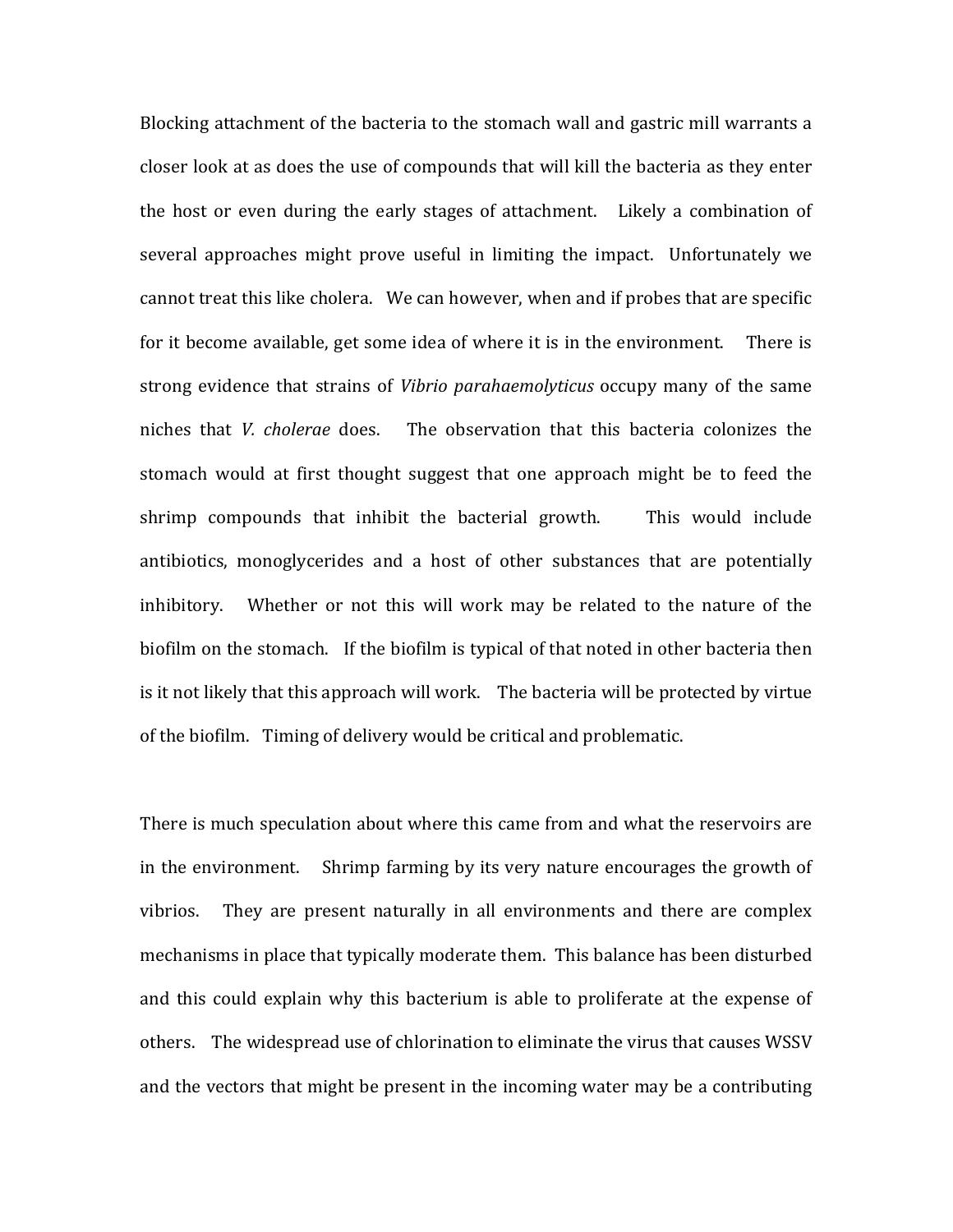Blocking attachment of the bacteria to the stomach wall and gastric mill warrants a closer look at as does the use of compounds that will kill the bacteria as they enter the host or even during the early stages of attachment. Likely a combination of several approaches might prove useful in limiting the impact. Unfortunately we cannot treat this like cholera. We can however, when and if probes that are specific for it become available, get some idea of where it is in the environment. There is strong evidence that strains of *Vibrio parahaemolyticus* occupy many of the same niches that *V. cholerae* does. The observation that this bacteria colonizes the stomach would at first thought suggest that one approach might be to feed the shrimp compounds that inhibit the bacterial growth. This would include antibiotics, monoglycerides and a host of other substances that are potentially inhibitory. Whether or not this will work may be related to the nature of the biofilm on the stomach. If the biofilm is typical of that noted in other bacteria then is it not likely that this approach will work. The bacteria will be protected by virtue of the biofilm. Timing of delivery would be critical and problematic.

There is much speculation about where this came from and what the reservoirs are in the environment. Shrimp farming by its very nature encourages the growth of vibrios. They are present naturally in all environments and there are complex mechanisms in place that typically moderate them. This balance has been disturbed and this could explain why this bacterium is able to proliferate at the expense of others. The widespread use of chlorination to eliminate the virus that causes WSSV and the vectors that might be present in the incoming water may be a contributing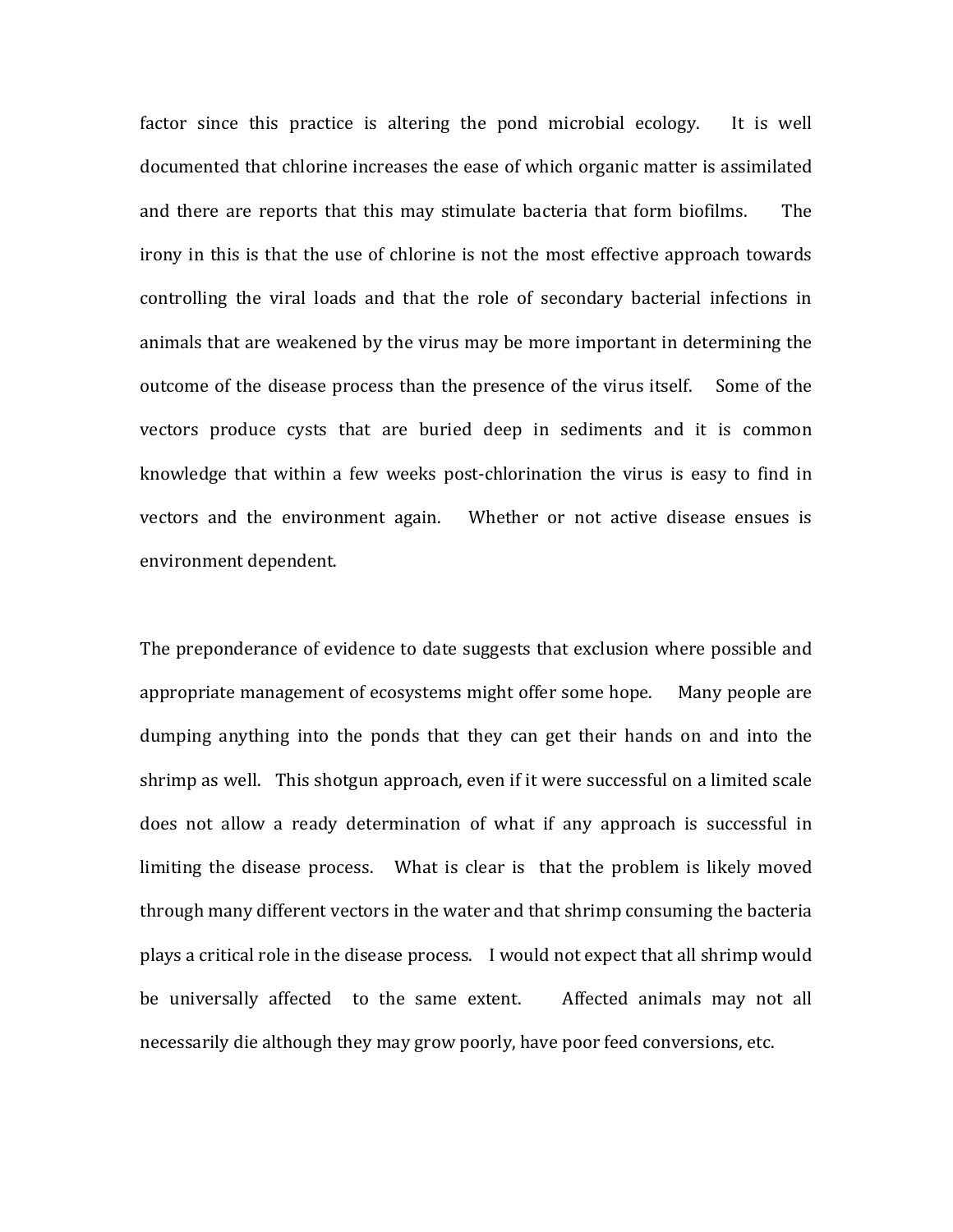factor since this practice is altering the pond microbial ecology. It is well documented that chlorine increases the ease of which organic matter is assimilated and there are reports that this may stimulate bacteria that form biofilms. The irony in this is that the use of chlorine is not the most effective approach towards controlling the viral loads and that the role of secondary bacterial infections in animals that are weakened by the virus may be more important in determining the outcome of the disease process than the presence of the virus itself. Some of the vectors produce cysts that are buried deep in sediments and it is common knowledge that within a few weeks post-chlorination the virus is easy to find in vectors and the environment again. Whether or not active disease ensues is environment dependent.

The preponderance of evidence to date suggests that exclusion where possible and appropriate management of ecosystems might offer some hope. Many people are dumping anything into the ponds that they can get their hands on and into the shrimp as well. This shotgun approach, even if it were successful on a limited scale does not allow a ready determination of what if any approach is successful in limiting the disease process. What is clear is that the problem is likely moved through many different vectors in the water and that shrimp consuming the bacteria plays a critical role in the disease process. I would not expect that all shrimp would be universally affected to the same extent. Affected animals may not all necessarily die although they may grow poorly, have poor feed conversions, etc.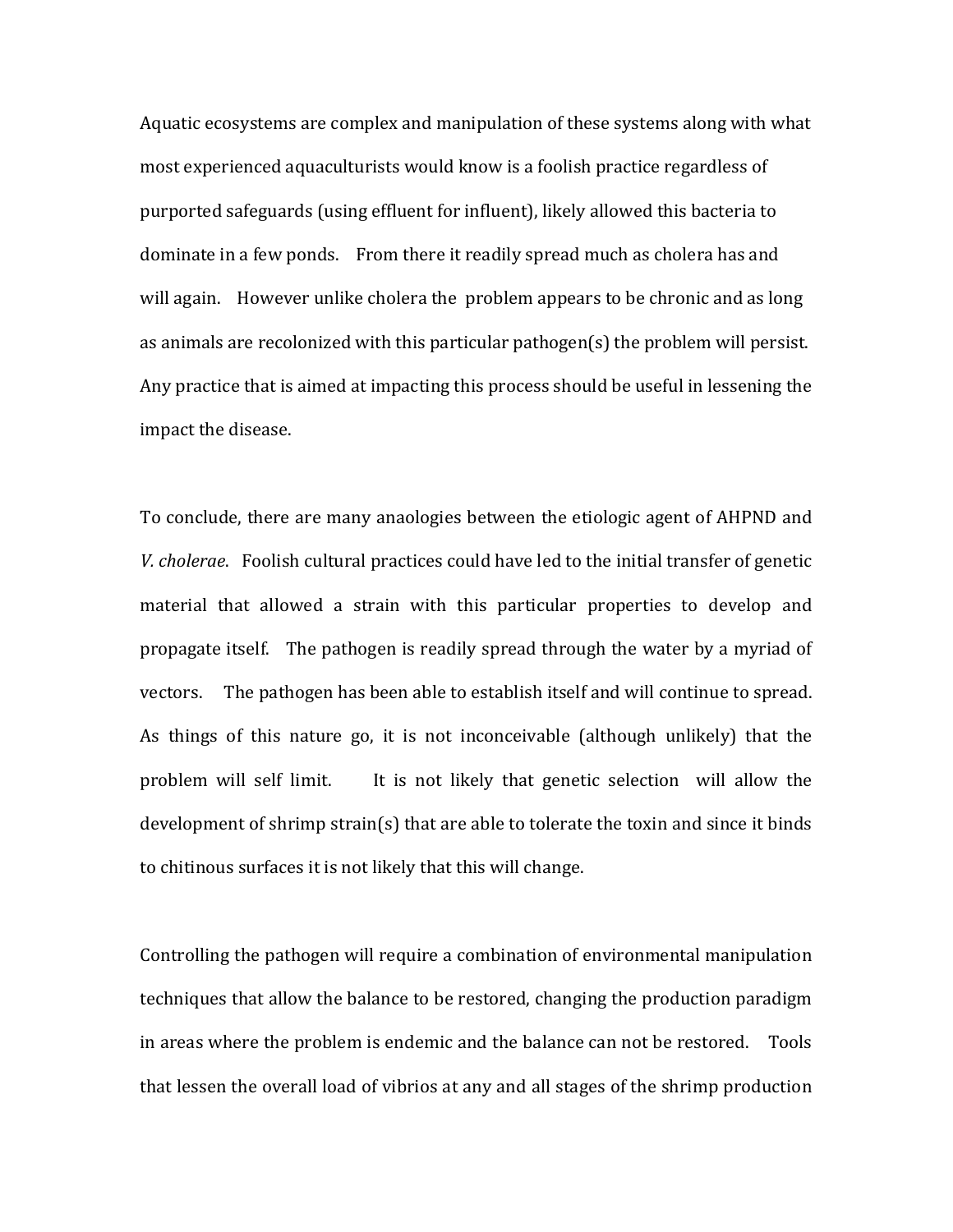Aquatic ecosystems are complex and manipulation of these systems along with what most experienced aquaculturists would know is a foolish practice regardless of purported safeguards (using effluent for influent), likely allowed this bacteria to dominate in a few ponds. From there it readily spread much as cholera has and will again. However unlike cholera the problem appears to be chronic and as long as animals are recolonized with this particular pathogen(s) the problem will persist. Any practice that is aimed at impacting this process should be useful in lessening the impact the disease.

To conclude, there are many anaologies between the etiologic agent of AHPND and *V.* cholerae. Foolish cultural practices could have led to the initial transfer of genetic material that allowed a strain with this particular properties to develop and propagate itself. The pathogen is readily spread through the water by a myriad of vectors. The pathogen has been able to establish itself and will continue to spread. As things of this nature go, it is not inconceivable (although unlikely) that the problem will self limit. It is not likely that genetic selection will allow the development of shrimp strain(s) that are able to tolerate the toxin and since it binds to chitinous surfaces it is not likely that this will change.

Controlling the pathogen will require a combination of environmental manipulation techniques that allow the balance to be restored, changing the production paradigm in areas where the problem is endemic and the balance can not be restored. Tools that lessen the overall load of vibrios at any and all stages of the shrimp production